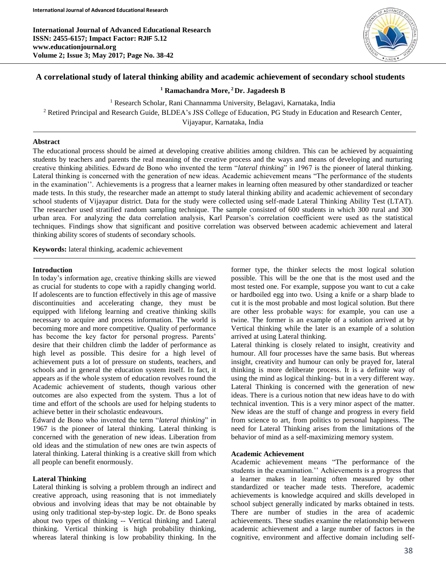**International Journal of Advanced Educational Research ISSN: 2455-6157; Impact Factor: RJIF 5.12 www.educationjournal.org Volume 2; Issue 3; May 2017; Page No. 38-42**



# **A correlational study of lateral thinking ability and academic achievement of secondary school students**

**<sup>1</sup> Ramachandra More, <sup>2</sup> Dr. Jagadeesh B**

<sup>1</sup> Research Scholar, Rani Channamma University, Belagavi, Karnataka, India

<sup>2</sup> Retired Principal and Research Guide, BLDEA's JSS College of Education, PG Study in Education and Research Center,

Vijayapur, Karnataka, India

### **Abstract**

The educational process should be aimed at developing creative abilities among children. This can be achieved by acquainting students by teachers and parents the real meaning of the creative process and the ways and means of developing and nurturing creative thinking abilities. Edward de Bono who invented the term "*lateral thinking*" in 1967 is the pioneer of lateral thinking. Lateral thinking is concerned with the generation of new ideas. Academic achievement means "The performance of the students in the examination''. Achievements is a progress that a learner makes in learning often measured by other standardized or teacher made tests. In this study, the researcher made an attempt to study lateral thinking ability and academic achievement of secondary school students of Vijayapur district. Data for the study were collected using self-made Lateral Thinking Ability Test (LTAT). The researcher used stratified random sampling technique. The sample consisted of 600 students in which 300 rural and 300 urban area. For analyzing the data correlation analysis, Karl Pearson's correlation coefficient were used as the statistical techniques. Findings show that significant and positive correlation was observed between academic achievement and lateral thinking ability scores of students of secondary schools.

**Keywords:** lateral thinking, academic achievement

### **Introduction**

Ī

In today's information age, creative thinking skills are viewed as crucial for students to cope with a rapidly changing world. If adolescents are to function effectively in this age of massive discontinuities and accelerating change, they must be equipped with lifelong learning and creative thinking skills necessary to acquire and process information. The world is becoming more and more competitive. Quality of performance has become the key factor for personal progress. Parents' desire that their children climb the ladder of performance as high level as possible. This desire for a high level of achievement puts a lot of pressure on students, teachers, and schools and in general the education system itself. In fact, it appears as if the whole system of education revolves round the Academic achievement of students, though various other outcomes are also expected from the system. Thus a lot of time and effort of the schools are used for helping students to achieve better in their scholastic endeavours.

Edward de Bono who invented the term "*lateral thinking*" in 1967 is the pioneer of lateral thinking. Lateral thinking is concerned with the generation of new ideas. Liberation from old ideas and the stimulation of new ones are twin aspects of lateral thinking. Lateral thinking is a creative skill from which all people can benefit enormously.

### **Lateral Thinking**

Lateral thinking is solving a problem through an indirect and creative approach, using reasoning that is not immediately obvious and involving ideas that may be not obtainable by using only traditional step-by-step logic. Dr. de Bono speaks about two types of thinking -- Vertical thinking and Lateral thinking. Vertical thinking is high probability thinking, whereas lateral thinking is low probability thinking. In the former type, the thinker selects the most logical solution possible. This will be the one that is the most used and the most tested one. For example, suppose you want to cut a cake or hardboiled egg into two. Using a knife or a sharp blade to cut it is the most probable and most logical solution. But there are other less probable ways: for example, you can use a twine. The former is an example of a solution arrived at by Vertical thinking while the later is an example of a solution arrived at using Lateral thinking.

Lateral thinking is closely related to insight, creativity and humour. All four processes have the same basis. But whereas insight, creativity and humour can only be prayed for, lateral thinking is more deliberate process. It is a definite way of using the mind as logical thinking- but in a very different way. Lateral Thinking is concerned with the generation of new ideas. There is a curious notion that new ideas have to do with technical invention. This is a very minor aspect of the matter. New ideas are the stuff of change and progress in every field from science to art, from politics to personal happiness. The need for Lateral Thinking arises from the limitations of the behavior of mind as a self-maximizing memory system.

#### **Academic Achievement**

Academic achievement means "The performance of the students in the examination.'' Achievements is a progress that a learner makes in learning often measured by other standardized or teacher made tests. Therefore, academic achievements is knowledge acquired and skills developed in school subject generally indicated by marks obtained in tests. There are number of studies in the area of academic achievements. These studies examine the relationship between academic achievement and a large number of factors in the cognitive, environment and affective domain including self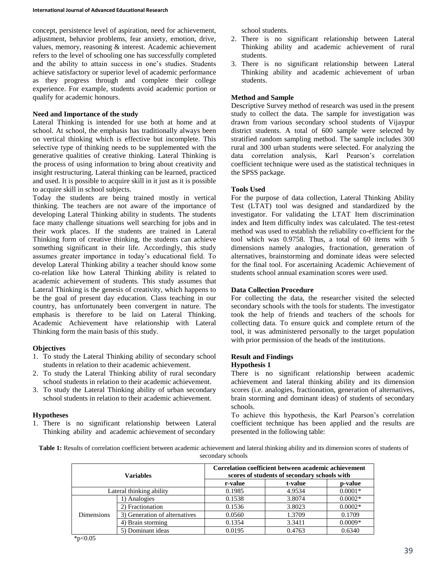concept, persistence level of aspiration, need for achievement, adjustment, behavior problems, fear anxiety, emotion, drive, values, memory, reasoning & interest. Academic achievement refers to the level of schooling one has successfully completed and the ability to attain success in one's studies. Students achieve satisfactory or superior level of academic performance as they progress through and complete their college experience. For example, students avoid academic portion or qualify for academic honours.

## **Need and Importance of the study**

Lateral Thinking is intended for use both at home and at school. At school, the emphasis has traditionally always been on vertical thinking which is effective but incomplete. This selective type of thinking needs to be supplemented with the generative qualities of creative thinking. Lateral Thinking is the process of using information to bring about creativity and insight restructuring. Lateral thinking can be learned, practiced and used. It is possible to acquire skill in it just as it is possible to acquire skill in school subjects.

Today the students are being trained mostly in vertical thinking. The teachers are not aware of the importance of developing Lateral Thinking ability in students. The students face many challenge situations well searching for jobs and in their work places. If the students are trained in Lateral Thinking form of creative thinking, the students can achieve something significant in their life. Accordingly, this study assumes greater importance in today's educational field. To develop Lateral Thinking ability a teacher should know some co-relation like how Lateral Thinking ability is related to academic achievement of students. This study assumes that Lateral Thinking is the genesis of creativity, which happens to be the goal of present day education. Class teaching in our country, has unfortunately been convergent in nature. The emphasis is therefore to be laid on Lateral Thinking. Academic Achievement have relationship with Lateral Thinking form the main basis of this study.

### **Objectives**

- 1. To study the Lateral Thinking ability of secondary school students in relation to their academic achievement.
- 2. To study the Lateral Thinking ability of rural secondary school students in relation to their academic achievement.
- 3. To study the Lateral Thinking ability of urban secondary school students in relation to their academic achievement.

### **Hypotheses**

1. There is no significant relationship between Lateral Thinking ability and academic achievement of secondary school students.

- 2. There is no significant relationship between Lateral Thinking ability and academic achievement of rural students.
- 3. There is no significant relationship between Lateral Thinking ability and academic achievement of urban students.

# **Method and Sample**

Descriptive Survey method of research was used in the present study to collect the data. The sample for investigation was drawn from various secondary school students of Vijaypur district students. A total of 600 sample were selected by stratified random sampling method. The sample includes 300 rural and 300 urban students were selected. For analyzing the data correlation analysis, Karl Pearson's correlation coefficient technique were used as the statistical techniques in the SPSS package.

## **Tools Used**

For the purpose of data collection, Lateral Thinking Ability Test (LTAT) tool was designed and standardized by the investigator. For validating the LTAT Item discrimination index and Item difficulty index was calculated. The test-retest method was used to establish the reliability co-efficient for the tool which was 0.9758. Thus, a total of 60 items with 5 dimensions namely analogies, fractionation, generation of alternatives, brainstorming and dominate ideas were selected for the final tool. For ascertaining Academic Achievement of students school annual examination scores were used.

## **Data Collection Procedure**

For collecting the data, the researcher visited the selected secondary schools with the tools for students. The investigator took the help of friends and teachers of the schools for collecting data. To ensure quick and complete return of the tool, it was administered personally to the target population with prior permission of the heads of the institutions.

### **Result and Findings**

### **Hypothesis 1**

There is no significant relationship between academic achievement and lateral thinking ability and its dimension scores (i.e. analogies, fractionation, generation of alternatives, brain storming and dominant ideas) of students of secondary schools.

To achieve this hypothesis, the Karl Pearson's correlation coefficient technique has been applied and the results are presented in the following table:

Table 1: Results of correlation coefficient between academic achievement and lateral thinking ability and its dimension scores of students of secondary schools

| <b>Variables</b>         |                               | Correlation coefficient between academic achievement<br>scores of students of secondary schools with |         |           |
|--------------------------|-------------------------------|------------------------------------------------------------------------------------------------------|---------|-----------|
|                          |                               | r-value                                                                                              | t-value | p-value   |
| Lateral thinking ability |                               | 0.1985                                                                                               | 4.9534  | $0.0001*$ |
| <b>Dimensions</b>        | 1) Analogies                  | 0.1538                                                                                               | 3.8074  | $0.0002*$ |
|                          | 2) Fractionation              | 0.1536                                                                                               | 3.8023  | $0.0002*$ |
|                          | 3) Generation of alternatives | 0.0560                                                                                               | 1.3709  | 0.1709    |
|                          | 4) Brain storming             | 0.1354                                                                                               | 3.3411  | $0.0009*$ |
|                          | 5) Dominant ideas             | 0.0195                                                                                               | 0.4763  | 0.6340    |

\*p<0.05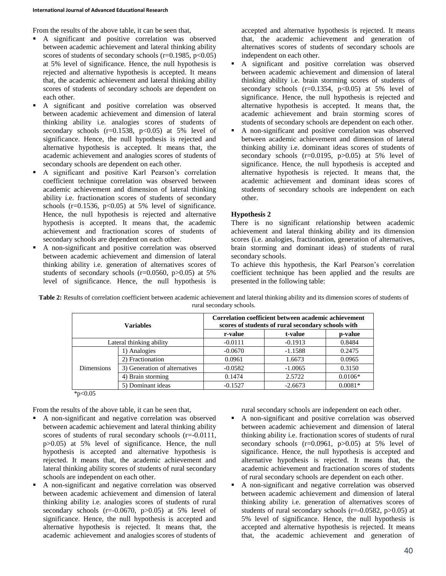From the results of the above table, it can be seen that,

- A significant and positive correlation was observed between academic achievement and lateral thinking ability scores of students of secondary schools  $(r=0.1985, p<0.05)$ at 5% level of significance. Hence, the null hypothesis is rejected and alternative hypothesis is accepted. It means that, the academic achievement and lateral thinking ability scores of students of secondary schools are dependent on each other.
- A significant and positive correlation was observed between academic achievement and dimension of lateral thinking ability i.e. analogies scores of students of secondary schools  $(r=0.1538, p<0.05)$  at 5% level of significance. Hence, the null hypothesis is rejected and alternative hypothesis is accepted. It means that, the academic achievement and analogies scores of students of secondary schools are dependent on each other.
- A significant and positive Karl Pearson's correlation coefficient technique correlation was observed between academic achievement and dimension of lateral thinking ability i.e. fractionation scores of students of secondary schools  $(r=0.1536, p<0.05)$  at 5% level of significance. Hence, the null hypothesis is rejected and alternative hypothesis is accepted. It means that, the academic achievement and fractionation scores of students of secondary schools are dependent on each other.
- A non-significant and positive correlation was observed between academic achievement and dimension of lateral thinking ability i.e. generation of alternatives scores of students of secondary schools  $(r=0.0560, p>0.05)$  at 5% level of significance. Hence, the null hypothesis is

accepted and alternative hypothesis is rejected. It means that, the academic achievement and generation of alternatives scores of students of secondary schools are independent on each other.

- A significant and positive correlation was observed between academic achievement and dimension of lateral thinking ability i.e. brain storming scores of students of secondary schools  $(r=0.1354, p<0.05)$  at 5% level of significance. Hence, the null hypothesis is rejected and alternative hypothesis is accepted. It means that, the academic achievement and brain storming scores of students of secondary schools are dependent on each other.
- A non-significant and positive correlation was observed between academic achievement and dimension of lateral thinking ability i.e. dominant ideas scores of students of secondary schools (r=0.0195, p>0.05) at 5% level of significance. Hence, the null hypothesis is accepted and alternative hypothesis is rejected. It means that, the academic achievement and dominant ideas scores of students of secondary schools are independent on each other.

# **Hypothesis 2**

There is no significant relationship between academic achievement and lateral thinking ability and its dimension scores (i.e. analogies, fractionation, generation of alternatives, brain storming and dominant ideas) of students of rural secondary schools.

To achieve this hypothesis, the Karl Pearson's correlation coefficient technique has been applied and the results are presented in the following table:

| <b>Variables</b>         |                               | Correlation coefficient between academic achievement<br>scores of students of rural secondary schools with |           |           |
|--------------------------|-------------------------------|------------------------------------------------------------------------------------------------------------|-----------|-----------|
|                          |                               | r-value                                                                                                    | t-value   | p-value   |
| Lateral thinking ability |                               | $-0.0111$                                                                                                  | $-0.1913$ | 0.8484    |
| <b>Dimensions</b>        | 1) Analogies                  | $-0.0670$                                                                                                  | $-1.1588$ | 0.2475    |
|                          | 2) Fractionation              | 0.0961                                                                                                     | 1.6673    | 0.0965    |
|                          | 3) Generation of alternatives | $-0.0582$                                                                                                  | $-1.0065$ | 0.3150    |
|                          | 4) Brain storming             | 0.1474                                                                                                     | 2.5722    | $0.0106*$ |
|                          | 5) Dominant ideas             | $-0.1527$                                                                                                  | $-2.6673$ | $0.0081*$ |

**Table 2:** Results of correlation coefficient between academic achievement and lateral thinking ability and its dimension scores of students of rural secondary schools.

 $*_{p<0.05}$ 

From the results of the above table, it can be seen that,

- A non-significant and negative correlation was observed between academic achievement and lateral thinking ability scores of students of rural secondary schools (r=-0.0111, p>0.05) at 5% level of significance. Hence, the null hypothesis is accepted and alternative hypothesis is rejected. It means that, the academic achievement and lateral thinking ability scores of students of rural secondary schools are independent on each other.
- A non-significant and negative correlation was observed between academic achievement and dimension of lateral thinking ability i.e. analogies scores of students of rural secondary schools  $(r=0.0670, p>0.05)$  at 5% level of significance. Hence, the null hypothesis is accepted and alternative hypothesis is rejected. It means that, the academic achievement and analogies scores of students of

rural secondary schools are independent on each other.

- A non-significant and positive correlation was observed between academic achievement and dimension of lateral thinking ability i.e. fractionation scores of students of rural secondary schools  $(r=0.0961, p>0.05)$  at 5% level of significance. Hence, the null hypothesis is accepted and alternative hypothesis is rejected. It means that, the academic achievement and fractionation scores of students of rural secondary schools are dependent on each other.
- A non-significant and negative correlation was observed between academic achievement and dimension of lateral thinking ability i.e. generation of alternatives scores of students of rural secondary schools ( $r = -0.0582$ ,  $p > 0.05$ ) at 5% level of significance. Hence, the null hypothesis is accepted and alternative hypothesis is rejected. It means that, the academic achievement and generation of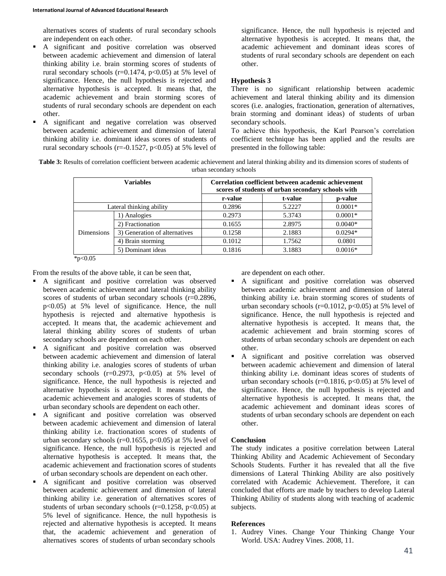alternatives scores of students of rural secondary schools are independent on each other.

- A significant and positive correlation was observed between academic achievement and dimension of lateral thinking ability i.e. brain storming scores of students of rural secondary schools (r=0.1474, p<0.05) at 5% level of significance. Hence, the null hypothesis is rejected and alternative hypothesis is accepted. It means that, the academic achievement and brain storming scores of students of rural secondary schools are dependent on each other.
- A significant and negative correlation was observed between academic achievement and dimension of lateral thinking ability i.e. dominant ideas scores of students of rural secondary schools ( $r=-0.1527$ ,  $p<0.05$ ) at 5% level of

significance. Hence, the null hypothesis is rejected and alternative hypothesis is accepted. It means that, the academic achievement and dominant ideas scores of students of rural secondary schools are dependent on each other.

### **Hypothesis 3**

There is no significant relationship between academic achievement and lateral thinking ability and its dimension scores (i.e. analogies, fractionation, generation of alternatives, brain storming and dominant ideas) of students of urban secondary schools.

To achieve this hypothesis, the Karl Pearson's correlation coefficient technique has been applied and the results are presented in the following table:

**Table 3:** Results of correlation coefficient between academic achievement and lateral thinking ability and its dimension scores of students of urban secondary schools

| <b>Variables</b>         |                               | Correlation coefficient between academic achievement<br>scores of students of urban secondary schools with |         |           |
|--------------------------|-------------------------------|------------------------------------------------------------------------------------------------------------|---------|-----------|
|                          |                               | r-value                                                                                                    | t-value | p-value   |
| Lateral thinking ability |                               | 0.2896                                                                                                     | 5.2227  | $0.0001*$ |
| <b>Dimensions</b>        | 1) Analogies                  | 0.2973                                                                                                     | 5.3743  | $0.0001*$ |
|                          | 2) Fractionation              | 0.1655                                                                                                     | 2.8975  | $0.0040*$ |
|                          | 3) Generation of alternatives | 0.1258                                                                                                     | 2.1883  | $0.0294*$ |
|                          | 4) Brain storming             | 0.1012                                                                                                     | 1.7562  | 0.0801    |
|                          | 5) Dominant ideas             | 0.1816                                                                                                     | 3.1883  | $0.0016*$ |

 $*p<0.05$ 

From the results of the above table, it can be seen that,

- A significant and positive correlation was observed between academic achievement and lateral thinking ability scores of students of urban secondary schools (r=0.2896, p<0.05) at 5% level of significance. Hence, the null hypothesis is rejected and alternative hypothesis is accepted. It means that, the academic achievement and lateral thinking ability scores of students of urban secondary schools are dependent on each other.
- A significant and positive correlation was observed between academic achievement and dimension of lateral thinking ability i.e. analogies scores of students of urban secondary schools  $(r=0.2973, p<0.05)$  at 5% level of significance. Hence, the null hypothesis is rejected and alternative hypothesis is accepted. It means that, the academic achievement and analogies scores of students of urban secondary schools are dependent on each other.
- A significant and positive correlation was observed between academic achievement and dimension of lateral thinking ability i.e. fractionation scores of students of urban secondary schools ( $r=0.1655$ ,  $p<0.05$ ) at 5% level of significance. Hence, the null hypothesis is rejected and alternative hypothesis is accepted. It means that, the academic achievement and fractionation scores of students of urban secondary schools are dependent on each other.
- A significant and positive correlation was observed between academic achievement and dimension of lateral thinking ability i.e. generation of alternatives scores of students of urban secondary schools ( $r=0.1258$ ,  $p<0.05$ ) at 5% level of significance. Hence, the null hypothesis is rejected and alternative hypothesis is accepted. It means that, the academic achievement and generation of alternatives scores of students of urban secondary schools

are dependent on each other.

- A significant and positive correlation was observed between academic achievement and dimension of lateral thinking ability i.e. brain storming scores of students of urban secondary schools ( $r=0.1012$ ,  $p<0.05$ ) at 5% level of significance. Hence, the null hypothesis is rejected and alternative hypothesis is accepted. It means that, the academic achievement and brain storming scores of students of urban secondary schools are dependent on each other.
- A significant and positive correlation was observed between academic achievement and dimension of lateral thinking ability i.e. dominant ideas scores of students of urban secondary schools ( $r=0.1816$ ,  $p<0.05$ ) at 5% level of significance. Hence, the null hypothesis is rejected and alternative hypothesis is accepted. It means that, the academic achievement and dominant ideas scores of students of urban secondary schools are dependent on each other.

## **Conclusion**

The study indicates a positive correlation between Lateral Thinking Ability and Academic Achievement of Secondary Schools Students. Further it has revealed that all the five dimensions of Lateral Thinking Ability are also positively correlated with Academic Achievement. Therefore, it can concluded that efforts are made by teachers to develop Lateral Thinking Ability of students along with teaching of academic subjects.

### **References**

1. Audrey Vines. Change Your Thinking Change Your World. USA: Audrey Vines. 2008, 11.